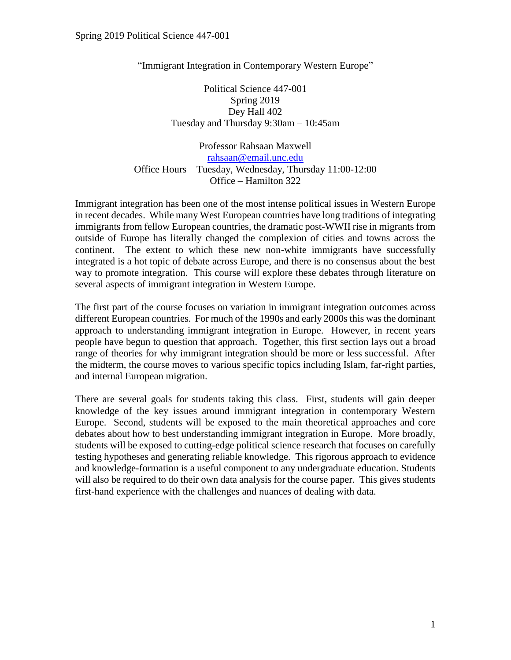"Immigrant Integration in Contemporary Western Europe"

Political Science 447-001 Spring 2019 Dey Hall 402 Tuesday and Thursday 9:30am – 10:45am

Professor Rahsaan Maxwell [rahsaan@email.unc.edu](mailto:rahsaan@email.unc.edu) Office Hours – Tuesday, Wednesday, Thursday 11:00-12:00 Office – Hamilton 322

Immigrant integration has been one of the most intense political issues in Western Europe in recent decades. While many West European countries have long traditions of integrating immigrants from fellow European countries, the dramatic post-WWII rise in migrants from outside of Europe has literally changed the complexion of cities and towns across the continent. The extent to which these new non-white immigrants have successfully integrated is a hot topic of debate across Europe, and there is no consensus about the best way to promote integration. This course will explore these debates through literature on several aspects of immigrant integration in Western Europe.

The first part of the course focuses on variation in immigrant integration outcomes across different European countries. For much of the 1990s and early 2000s this was the dominant approach to understanding immigrant integration in Europe. However, in recent years people have begun to question that approach. Together, this first section lays out a broad range of theories for why immigrant integration should be more or less successful. After the midterm, the course moves to various specific topics including Islam, far-right parties, and internal European migration.

There are several goals for students taking this class. First, students will gain deeper knowledge of the key issues around immigrant integration in contemporary Western Europe. Second, students will be exposed to the main theoretical approaches and core debates about how to best understanding immigrant integration in Europe. More broadly, students will be exposed to cutting-edge political science research that focuses on carefully testing hypotheses and generating reliable knowledge. This rigorous approach to evidence and knowledge-formation is a useful component to any undergraduate education. Students will also be required to do their own data analysis for the course paper. This gives students first-hand experience with the challenges and nuances of dealing with data.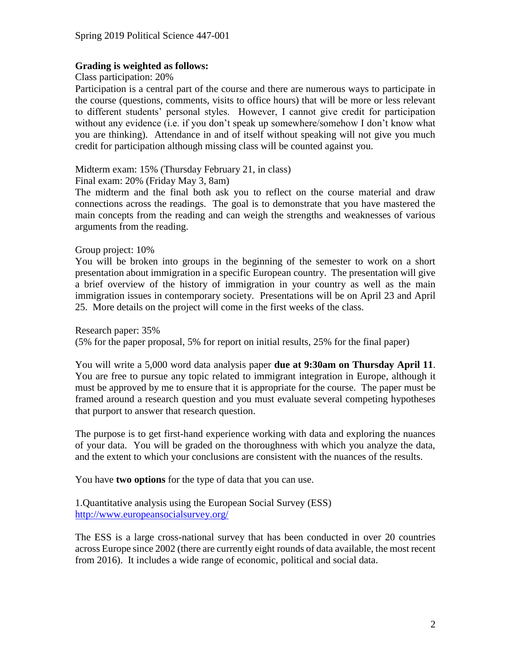#### **Grading is weighted as follows:**

Class participation: 20%

Participation is a central part of the course and there are numerous ways to participate in the course (questions, comments, visits to office hours) that will be more or less relevant to different students' personal styles. However, I cannot give credit for participation without any evidence (i.e. if you don't speak up somewhere/somehow I don't know what you are thinking). Attendance in and of itself without speaking will not give you much credit for participation although missing class will be counted against you.

Midterm exam: 15% (Thursday February 21, in class)

Final exam: 20% (Friday May 3, 8am)

The midterm and the final both ask you to reflect on the course material and draw connections across the readings. The goal is to demonstrate that you have mastered the main concepts from the reading and can weigh the strengths and weaknesses of various arguments from the reading.

#### Group project: 10%

You will be broken into groups in the beginning of the semester to work on a short presentation about immigration in a specific European country. The presentation will give a brief overview of the history of immigration in your country as well as the main immigration issues in contemporary society. Presentations will be on April 23 and April 25. More details on the project will come in the first weeks of the class.

Research paper: 35%

(5% for the paper proposal, 5% for report on initial results, 25% for the final paper)

You will write a 5,000 word data analysis paper **due at 9:30am on Thursday April 11**. You are free to pursue any topic related to immigrant integration in Europe, although it must be approved by me to ensure that it is appropriate for the course. The paper must be framed around a research question and you must evaluate several competing hypotheses that purport to answer that research question.

The purpose is to get first-hand experience working with data and exploring the nuances of your data. You will be graded on the thoroughness with which you analyze the data, and the extent to which your conclusions are consistent with the nuances of the results.

You have **two options** for the type of data that you can use.

1.Quantitative analysis using the European Social Survey (ESS) <http://www.europeansocialsurvey.org/>

The ESS is a large cross-national survey that has been conducted in over 20 countries across Europe since 2002 (there are currently eight rounds of data available, the most recent from 2016). It includes a wide range of economic, political and social data.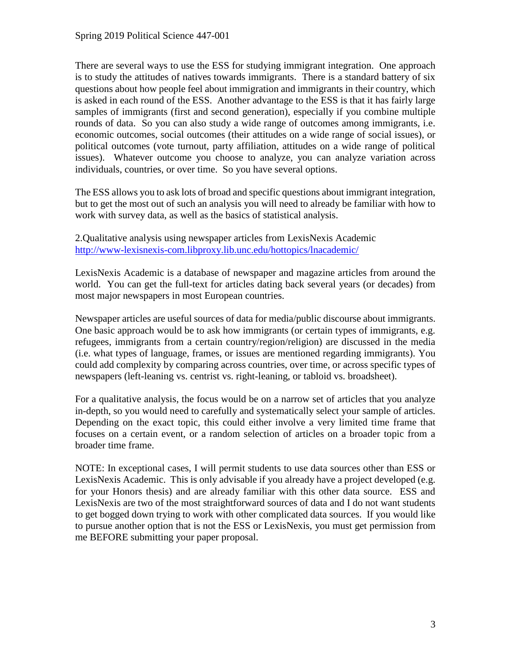There are several ways to use the ESS for studying immigrant integration. One approach is to study the attitudes of natives towards immigrants. There is a standard battery of six questions about how people feel about immigration and immigrants in their country, which is asked in each round of the ESS. Another advantage to the ESS is that it has fairly large samples of immigrants (first and second generation), especially if you combine multiple rounds of data. So you can also study a wide range of outcomes among immigrants, i.e. economic outcomes, social outcomes (their attitudes on a wide range of social issues), or political outcomes (vote turnout, party affiliation, attitudes on a wide range of political issues). Whatever outcome you choose to analyze, you can analyze variation across individuals, countries, or over time. So you have several options.

The ESS allows you to ask lots of broad and specific questions about immigrant integration, but to get the most out of such an analysis you will need to already be familiar with how to work with survey data, as well as the basics of statistical analysis.

2.Qualitative analysis using newspaper articles from LexisNexis Academic <http://www-lexisnexis-com.libproxy.lib.unc.edu/hottopics/lnacademic/>

LexisNexis Academic is a database of newspaper and magazine articles from around the world. You can get the full-text for articles dating back several years (or decades) from most major newspapers in most European countries.

Newspaper articles are useful sources of data for media/public discourse about immigrants. One basic approach would be to ask how immigrants (or certain types of immigrants, e.g. refugees, immigrants from a certain country/region/religion) are discussed in the media (i.e. what types of language, frames, or issues are mentioned regarding immigrants). You could add complexity by comparing across countries, over time, or across specific types of newspapers (left-leaning vs. centrist vs. right-leaning, or tabloid vs. broadsheet).

For a qualitative analysis, the focus would be on a narrow set of articles that you analyze in-depth, so you would need to carefully and systematically select your sample of articles. Depending on the exact topic, this could either involve a very limited time frame that focuses on a certain event, or a random selection of articles on a broader topic from a broader time frame.

NOTE: In exceptional cases, I will permit students to use data sources other than ESS or LexisNexis Academic. This is only advisable if you already have a project developed (e.g. for your Honors thesis) and are already familiar with this other data source. ESS and LexisNexis are two of the most straightforward sources of data and I do not want students to get bogged down trying to work with other complicated data sources. If you would like to pursue another option that is not the ESS or LexisNexis, you must get permission from me BEFORE submitting your paper proposal.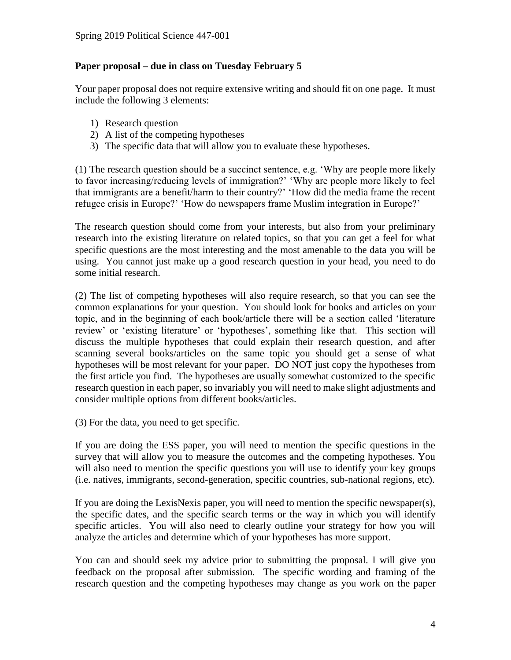# **Paper proposal – due in class on Tuesday February 5**

Your paper proposal does not require extensive writing and should fit on one page. It must include the following 3 elements:

- 1) Research question
- 2) A list of the competing hypotheses
- 3) The specific data that will allow you to evaluate these hypotheses.

(1) The research question should be a succinct sentence, e.g. 'Why are people more likely to favor increasing/reducing levels of immigration?' 'Why are people more likely to feel that immigrants are a benefit/harm to their country?' 'How did the media frame the recent refugee crisis in Europe?' 'How do newspapers frame Muslim integration in Europe?'

The research question should come from your interests, but also from your preliminary research into the existing literature on related topics, so that you can get a feel for what specific questions are the most interesting and the most amenable to the data you will be using. You cannot just make up a good research question in your head, you need to do some initial research.

(2) The list of competing hypotheses will also require research, so that you can see the common explanations for your question. You should look for books and articles on your topic, and in the beginning of each book/article there will be a section called 'literature review' or 'existing literature' or 'hypotheses', something like that. This section will discuss the multiple hypotheses that could explain their research question, and after scanning several books/articles on the same topic you should get a sense of what hypotheses will be most relevant for your paper. DO NOT just copy the hypotheses from the first article you find. The hypotheses are usually somewhat customized to the specific research question in each paper, so invariably you will need to make slight adjustments and consider multiple options from different books/articles.

(3) For the data, you need to get specific.

If you are doing the ESS paper, you will need to mention the specific questions in the survey that will allow you to measure the outcomes and the competing hypotheses. You will also need to mention the specific questions you will use to identify your key groups (i.e. natives, immigrants, second-generation, specific countries, sub-national regions, etc).

If you are doing the LexisNexis paper, you will need to mention the specific newspaper(s), the specific dates, and the specific search terms or the way in which you will identify specific articles. You will also need to clearly outline your strategy for how you will analyze the articles and determine which of your hypotheses has more support.

You can and should seek my advice prior to submitting the proposal. I will give you feedback on the proposal after submission. The specific wording and framing of the research question and the competing hypotheses may change as you work on the paper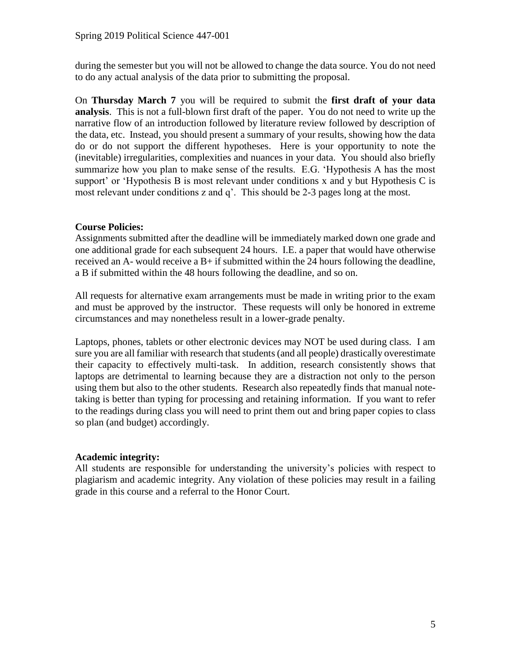during the semester but you will not be allowed to change the data source. You do not need to do any actual analysis of the data prior to submitting the proposal.

On **Thursday March 7** you will be required to submit the **first draft of your data analysis**. This is not a full-blown first draft of the paper. You do not need to write up the narrative flow of an introduction followed by literature review followed by description of the data, etc. Instead, you should present a summary of your results, showing how the data do or do not support the different hypotheses. Here is your opportunity to note the (inevitable) irregularities, complexities and nuances in your data. You should also briefly summarize how you plan to make sense of the results. E.G. 'Hypothesis A has the most support' or 'Hypothesis B is most relevant under conditions x and y but Hypothesis C is most relevant under conditions z and q'. This should be 2-3 pages long at the most.

## **Course Policies:**

Assignments submitted after the deadline will be immediately marked down one grade and one additional grade for each subsequent 24 hours. I.E. a paper that would have otherwise received an A- would receive a B+ if submitted within the 24 hours following the deadline, a B if submitted within the 48 hours following the deadline, and so on.

All requests for alternative exam arrangements must be made in writing prior to the exam and must be approved by the instructor. These requests will only be honored in extreme circumstances and may nonetheless result in a lower-grade penalty.

Laptops, phones, tablets or other electronic devices may NOT be used during class. I am sure you are all familiar with research that students (and all people) drastically overestimate their capacity to effectively multi-task. In addition, research consistently shows that laptops are detrimental to learning because they are a distraction not only to the person using them but also to the other students. Research also repeatedly finds that manual notetaking is better than typing for processing and retaining information. If you want to refer to the readings during class you will need to print them out and bring paper copies to class so plan (and budget) accordingly.

## **Academic integrity:**

All students are responsible for understanding the university's policies with respect to plagiarism and academic integrity. Any violation of these policies may result in a failing grade in this course and a referral to the Honor Court.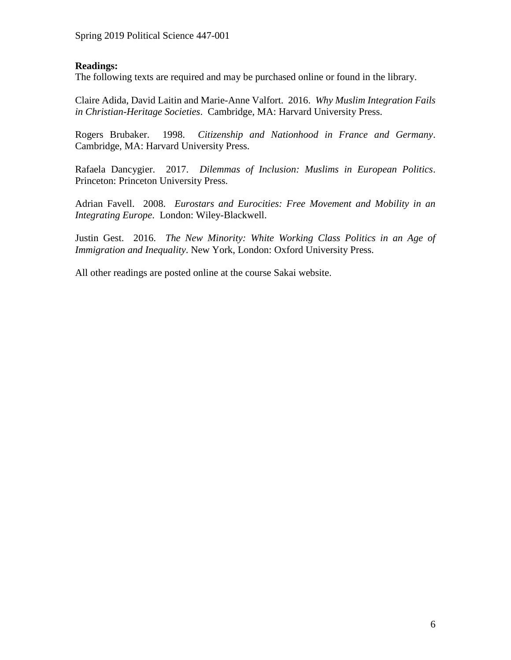# **Readings:**

The following texts are required and may be purchased online or found in the library.

Claire Adida, David Laitin and Marie-Anne Valfort. 2016. *Why Muslim Integration Fails in Christian-Heritage Societies*. Cambridge, MA: Harvard University Press.

Rogers Brubaker. 1998. *Citizenship and Nationhood in France and Germany*. Cambridge, MA: Harvard University Press.

Rafaela Dancygier. 2017. *Dilemmas of Inclusion: Muslims in European Politics*. Princeton: Princeton University Press.

Adrian Favell. 2008. *Eurostars and Eurocities: Free Movement and Mobility in an Integrating Europe*. London: Wiley-Blackwell.

Justin Gest. 2016. *The New Minority: White Working Class Politics in an Age of Immigration and Inequality*. New York, London: Oxford University Press.

All other readings are posted online at the course Sakai website.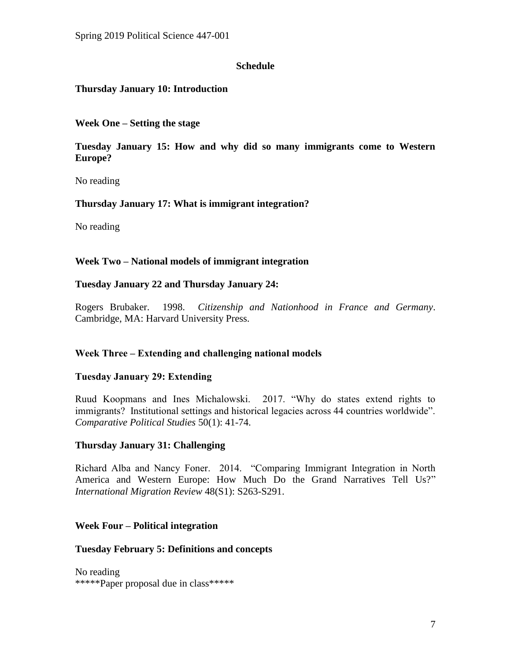## **Schedule**

## **Thursday January 10: Introduction**

**Week One – Setting the stage**

**Tuesday January 15: How and why did so many immigrants come to Western Europe?**

No reading

## **Thursday January 17: What is immigrant integration?**

No reading

## **Week Two – National models of immigrant integration**

#### **Tuesday January 22 and Thursday January 24:**

Rogers Brubaker. 1998. *Citizenship and Nationhood in France and Germany*. Cambridge, MA: Harvard University Press.

## **Week Three – Extending and challenging national models**

## **Tuesday January 29: Extending**

Ruud Koopmans and Ines Michalowski. 2017. "Why do states extend rights to immigrants? Institutional settings and historical legacies across 44 countries worldwide". *Comparative Political Studies* 50(1): 41-74.

## **Thursday January 31: Challenging**

Richard Alba and Nancy Foner. 2014. "Comparing Immigrant Integration in North America and Western Europe: How Much Do the Grand Narratives Tell Us?" *International Migration Review* 48(S1): S263-S291.

## **Week Four – Political integration**

#### **Tuesday February 5: Definitions and concepts**

No reading \*\*\*\*\*Paper proposal due in class\*\*\*\*\*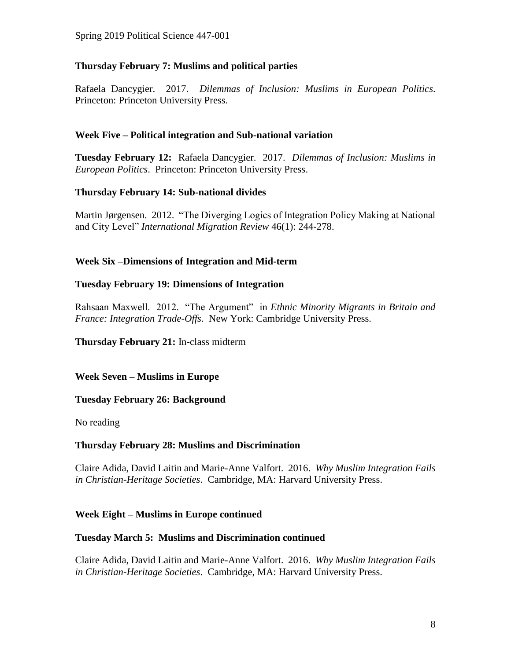# **Thursday February 7: Muslims and political parties**

Rafaela Dancygier. 2017. *Dilemmas of Inclusion: Muslims in European Politics*. Princeton: Princeton University Press.

# **Week Five – Political integration and Sub-national variation**

**Tuesday February 12:** Rafaela Dancygier. 2017. *Dilemmas of Inclusion: Muslims in European Politics*. Princeton: Princeton University Press.

# **Thursday February 14: Sub-national divides**

Martin Jørgensen. 2012. "The Diverging Logics of Integration Policy Making at National and City Level" *International Migration Review* 46(1): 244-278.

# **Week Six –Dimensions of Integration and Mid-term**

# **Tuesday February 19: Dimensions of Integration**

Rahsaan Maxwell. 2012. "The Argument" in *Ethnic Minority Migrants in Britain and France: Integration Trade-Offs*. New York: Cambridge University Press.

**Thursday February 21:** In-class midterm

**Week Seven – Muslims in Europe**

## **Tuesday February 26: Background**

No reading

## **Thursday February 28: Muslims and Discrimination**

Claire Adida, David Laitin and Marie-Anne Valfort. 2016. *Why Muslim Integration Fails in Christian-Heritage Societies*. Cambridge, MA: Harvard University Press.

## **Week Eight – Muslims in Europe continued**

## **Tuesday March 5: Muslims and Discrimination continued**

Claire Adida, David Laitin and Marie-Anne Valfort. 2016. *Why Muslim Integration Fails in Christian-Heritage Societies*. Cambridge, MA: Harvard University Press.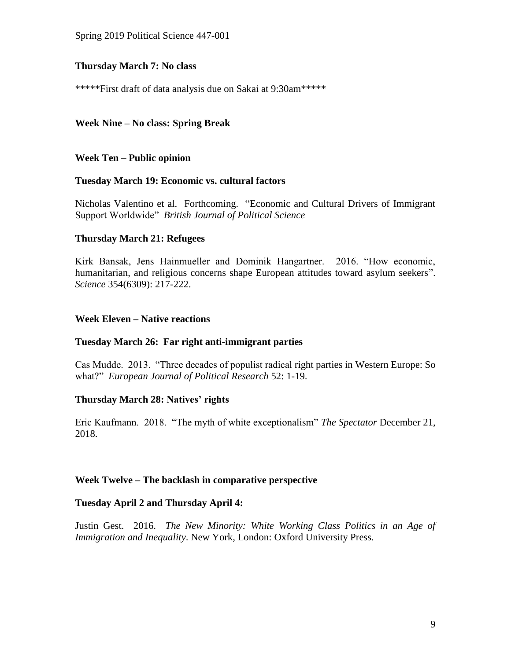## **Thursday March 7: No class**

\*\*\*\*\*First draft of data analysis due on Sakai at 9:30am\*\*\*\*\*

# **Week Nine – No class: Spring Break**

**Week Ten – Public opinion**

#### **Tuesday March 19: Economic vs. cultural factors**

Nicholas Valentino et al. Forthcoming. "Economic and Cultural Drivers of Immigrant Support Worldwide" *British Journal of Political Science*

## **Thursday March 21: Refugees**

Kirk Bansak, Jens Hainmueller and Dominik Hangartner. 2016. "How economic, humanitarian, and religious concerns shape European attitudes toward asylum seekers". *Science* 354(6309): 217-222.

## **Week Eleven – Native reactions**

#### **Tuesday March 26: Far right anti-immigrant parties**

Cas Mudde. 2013. "Three decades of populist radical right parties in Western Europe: So what?" *European Journal of Political Research* 52: 1-19.

## **Thursday March 28: Natives' rights**

Eric Kaufmann. 2018. "The myth of white exceptionalism" *The Spectator* December 21, 2018.

#### **Week Twelve – The backlash in comparative perspective**

#### **Tuesday April 2 and Thursday April 4:**

Justin Gest. 2016. *The New Minority: White Working Class Politics in an Age of Immigration and Inequality*. New York, London: Oxford University Press.